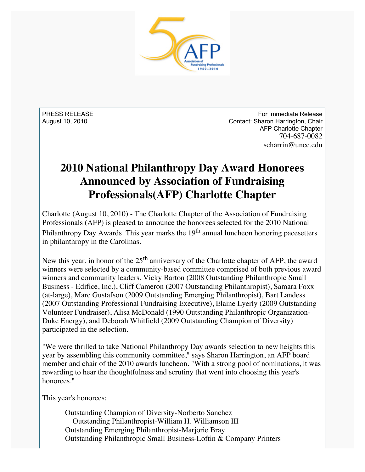

PRESS RELEASE August 10, 2010

For Immediate Release Contact: Sharon Harrington, Chair AFP Charlotte Chapter 704-687-0082 [scharrin@uncc.edu](mailto:scharrin@uncc.edu)

## **2010 National Philanthropy Day Award Honorees Announced by Association of Fundraising Professionals(AFP) Charlotte Chapter**

Charlotte (August 10, 2010) - The Charlotte Chapter of the Association of Fundraising Professionals (AFP) is pleased to announce the honorees selected for the 2010 National Philanthropy Day Awards. This year marks the  $19<sup>th</sup>$  annual luncheon honoring pacesetters in philanthropy in the Carolinas.

New this year, in honor of the  $25<sup>th</sup>$  anniversary of the Charlotte chapter of AFP, the award winners were selected by a community-based committee comprised of both previous award winners and community leaders. Vicky Barton (2008 Outstanding Philanthropic Small Business - Edifice, Inc.), Cliff Cameron (2007 Outstanding Philanthropist), Samara Foxx (at-large), Marc Gustafson (2009 Outstanding Emerging Philanthropist), Bart Landess (2007 Outstanding Professional Fundraising Executive), Elaine Lyerly (2009 Outstanding Volunteer Fundraiser), Alisa McDonald (1990 Outstanding Philanthropic Organization-Duke Energy), and Deborah Whitfield (2009 Outstanding Champion of Diversity) participated in the selection.

"We were thrilled to take National Philanthropy Day awards selection to new heights this year by assembling this community committee," says Sharon Harrington, an AFP board member and chair of the 2010 awards luncheon. "With a strong pool of nominations, it was rewarding to hear the thoughtfulness and scrutiny that went into choosing this year's honorees."

This year's honorees:

Outstanding Champion of Diversity-Norberto Sanchez Outstanding Philanthropist-William H. Williamson III Outstanding Emerging Philanthropist-Marjorie Bray Outstanding Philanthropic Small Business-Loftin & Company Printers